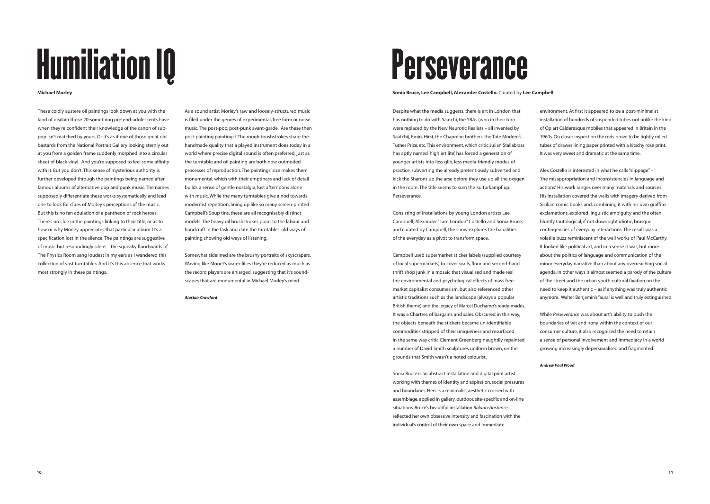## **Perseverance**

## **Sonia Bruce, Lee Campbell, Alexander Costello.** Curated by **Lee Campbell**

Despite what the media suggests, there is art in London that has nothing to do with Saatchi, the YBAs (who in their turn were replaced by the New Neurotic Realists – all invented by Saatchi), Emin, Hirst, the Chapman brothers, the Tate Modern's Turner Prize, etc.This environment, which critic Julian Stallabrass has aptly named 'high art lite', has forced a generation of younger artists into less glib, less media-friendly modes of practice, subverting the already pretentiously subverted and kick the Sharons up the arse before they use up all the oxygen in the room. The title seems to sum the kulturkampf up: Perseverance.

Consisting of installations by young London artists Lee Campbell, Alexander "I am London" Costello and Sonia Bruce, and curated by Campbell, the show explores the banalities of the everyday as a pivot to transform space.

Campbell used supermarket sticker labels (supplied courtesy of local supermarkets) to cover walls, floor and second-hand thrift shop junk in a mosaic that visualised and made real the environmental and psychological effects of mass freemarket capitalist consumerism, but also referenced other artistic traditions such as the landscape (always a popular British theme) and the legacy of Marcel Duchamp's ready-mades. It was a Chartres of bargains and sales. Obscured in this way, the objects beneath the stickers became un-identifiable commodities stripped of their uniqueness and resurfaced in the same way critic Clement Greenberg naughtily repainted a number of David Smith sculptures uniform brown, on the grounds that Smith wasn't a noted colourist.

Sonia Bruce is an abstract installation and digital print artist working with themes of identity and aspiration, social pressures and boundaries. Hers is a minimalist aesthetic crossed with assemblage, applied in gallery, outdoor, site-specific and on-line situations. Bruce's beautiful installation *Balance/Instance* reflected her own obsessive intensity and fascination with the individual's control of their own space and immediate

environment. At first it appeared to be a post-minimalist installation of hundreds of suspended tubes not unlike the kind of Op art Calderesque mobiles that appeared in Britain in the 1960s. On closer inspection the rods prove to be tightly rolled tubes of drawer lining paper printed with a kitschy rose print. It was very sweet and dramatic at the same time.

Alex Costello is interested in what he calls "slippage" – 'the misappropriation and inconsistencies in language and actions'. His work ranges over many materials and sources. His installation covered the walls with imagery derived from Sicilian comic books and, combining it with his own graffito exclamations, explored linguistic ambiguity and the often bluntly tautological, if not downright idiotic, brusque contingencies of everyday interactions. The result was a volatile buzz reminiscent of the wall works of Paul McCarthy. It looked like political art, and in a sense it was, but more about the politics of language and communication of the minor everyday narrative than about any overreaching social agenda. In other ways it almost seemed a parody of the culture of the street and the urban youth-cultural fixation on the need to keep it authentic – as if anything was truly authentic anymore. Walter Benjamin's "aura" is well and truly extinguished.

While *Perseverance* was about art's ability to push the boundaries of wit and irony within the context of our consumer culture, it also recognised the need to retain a sense of personal involvement and immediacy in a world growing increasingly depersonalised and fragmented.

## *Andrew Paul Wood*